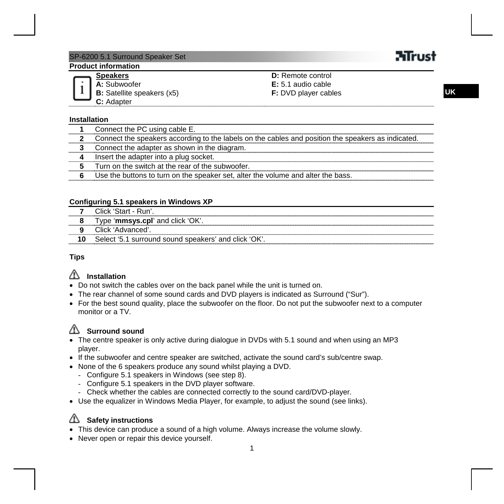### SP-6200 5.1 Surround Speaker Set

### **Product information**

#### **Speakers**

**A:** Subwoofer **B:** Satellite speakers (x5) **C:** Adapter **D:** Remote control **E:** 5.1 audio cable **F:** DVD player cables

### **Installation**

| Connect the PC using cable E.                                                                      |
|----------------------------------------------------------------------------------------------------|
| Connect the speakers according to the labels on the cables and position the speakers as indicated. |
| Connect the adapter as shown in the diagram.                                                       |
| Insert the adapter into a plug socket.                                                             |
| Turn on the switch at the rear of the subwoofer.                                                   |
| Use the buttons to turn on the speaker set, alter the volume and alter the bass.                   |

#### **Configuring 5.1 speakers in Windows XP**

| :lick 'Start - Run'                                 |
|-----------------------------------------------------|
| Type 'mmsys.cpl' and click 'OK'.                    |
| Click 'Advanced'                                    |
| Select '5.1 surround sound speakers' and click 'OK' |

#### **Tips**

### **Installation**

- Do not switch the cables over on the back panel while the unit is turned on.
- The rear channel of some sound cards and DVD players is indicated as Surround ("Sur").
- For the best sound quality, place the subwoofer on the floor. Do not put the subwoofer next to a computer monitor or a TV.

### **Surround sound**

- The centre speaker is only active during dialogue in DVDs with 5.1 sound and when using an MP3 player.
- If the subwoofer and centre speaker are switched, activate the sound card's sub/centre swap.
- None of the 6 speakers produce any sound whilst playing a DVD.
	- Configure 5.1 speakers in Windows (see step 8).
	- Configure 5.1 speakers in the DVD player software.
	- Check whether the cables are connected correctly to the sound card/DVD-player.
- Use the equalizer in Windows Media Player, for example, to adjust the sound (see links).

### **Safety instructions**

- This device can produce a sound of a high volume. Always increase the volume slowly.
- Never open or repair this device yourself.

# **Mirust**